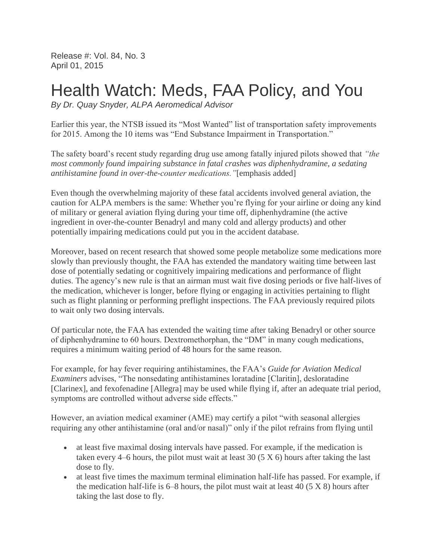Release #: Vol. 84, No. 3 April 01, 2015

## Health Watch: Meds, FAA Policy, and You

*By Dr. Quay Snyder, ALPA Aeromedical Advisor*

Earlier this year, the NTSB issued its "Most Wanted" list of transportation safety improvements for 2015. Among the 10 items was "End Substance Impairment in Transportation."

The safety board's recent study regarding drug use among fatally injured pilots showed that *"the most commonly found impairing substance in fatal crashes was diphenhydramine, a sedating antihistamine found in over-the-counter medications."*[emphasis added]

Even though the overwhelming majority of these fatal accidents involved general aviation, the caution for ALPA members is the same: Whether you're flying for your airline or doing any kind of military or general aviation flying during your time off, diphenhydramine (the active ingredient in over-the-counter Benadryl and many cold and allergy products) and other potentially impairing medications could put you in the accident database.

Moreover, based on recent research that showed some people metabolize some medications more slowly than previously thought, the FAA has extended the mandatory waiting time between last dose of potentially sedating or cognitively impairing medications and performance of flight duties. The agency's new rule is that an airman must wait five dosing periods or five half-lives of the medication, whichever is longer, before flying or engaging in activities pertaining to flight such as flight planning or performing preflight inspections. The FAA previously required pilots to wait only two dosing intervals.

Of particular note, the FAA has extended the waiting time after taking Benadryl or other source of diphenhydramine to 60 hours. Dextromethorphan, the "DM" in many cough medications, requires a minimum waiting period of 48 hours for the same reason.

For example, for hay fever requiring antihistamines, the FAA's *Guide for Aviation Medical Examiners* advises, "The nonsedating antihistamines loratadine [Claritin], desloratadine [Clarinex], and fexofenadine [Allegra] may be used while flying if, after an adequate trial period, symptoms are controlled without adverse side effects."

However, an aviation medical examiner (AME) may certify a pilot "with seasonal allergies requiring any other antihistamine (oral and/or nasal)" only if the pilot refrains from flying until

- at least five maximal dosing intervals have passed. For example, if the medication is taken every 4–6 hours, the pilot must wait at least 30 (5 X 6) hours after taking the last dose to fly.
- at least five times the maximum terminal elimination half-life has passed. For example, if the medication half-life is  $6-8$  hours, the pilot must wait at least 40  $(5 \times 8)$  hours after taking the last dose to fly.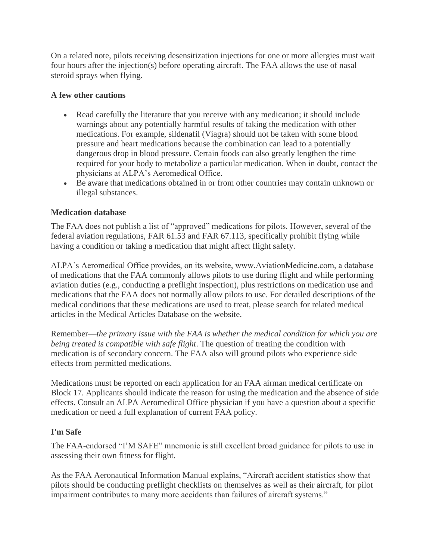On a related note, pilots receiving desensitization injections for one or more allergies must wait four hours after the injection(s) before operating aircraft. The FAA allows the use of nasal steroid sprays when flying.

## **A few other cautions**

- Read carefully the literature that you receive with any medication; it should include warnings about any potentially harmful results of taking the medication with other medications. For example, sildenafil (Viagra) should not be taken with some blood pressure and heart medications because the combination can lead to a potentially dangerous drop in blood pressure. Certain foods can also greatly lengthen the time required for your body to metabolize a particular medication. When in doubt, contact the physicians at ALPA's Aeromedical Office.
- Be aware that medications obtained in or from other countries may contain unknown or illegal substances.

## **Medication database**

The FAA does not publish a list of "approved" medications for pilots. However, several of the federal aviation regulations, FAR 61.53 and FAR 67.113, specifically prohibit flying while having a condition or taking a medication that might affect flight safety.

ALPA's Aeromedical Office provides, on its website, www.AviationMedicine.com, a database of medications that the FAA commonly allows pilots to use during flight and while performing aviation duties (e.g., conducting a preflight inspection), plus restrictions on medication use and medications that the FAA does not normally allow pilots to use. For detailed descriptions of the medical conditions that these medications are used to treat, please search for related medical articles in the Medical Articles Database on the website.

Remember—*the primary issue with the FAA is whether the medical condition for which you are being treated is compatible with safe flight*. The question of treating the condition with medication is of secondary concern. The FAA also will ground pilots who experience side effects from permitted medications.

Medications must be reported on each application for an FAA airman medical certificate on Block 17. Applicants should indicate the reason for using the medication and the absence of side effects. Consult an ALPA Aeromedical Office physician if you have a question about a specific medication or need a full explanation of current FAA policy.

## **I'm Safe**

The FAA-endorsed "I'M SAFE" mnemonic is still excellent broad guidance for pilots to use in assessing their own fitness for flight.

As the FAA Aeronautical Information Manual explains, "Aircraft accident statistics show that pilots should be conducting preflight checklists on themselves as well as their aircraft, for pilot impairment contributes to many more accidents than failures of aircraft systems."